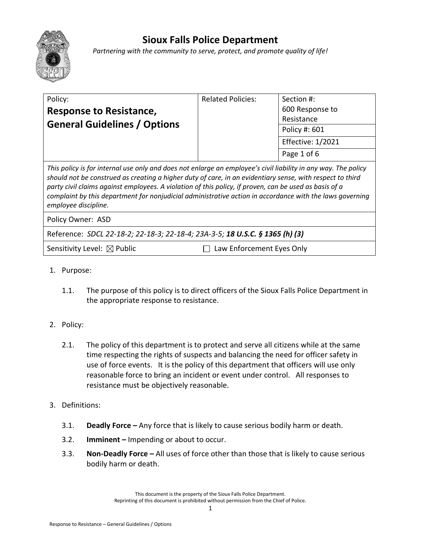# **Sioux Falls Police Department**

*Partnering with the community to serve, protect, and promote quality of life!*

| Policy:<br><b>Response to Resistance,</b><br><b>General Guidelines / Options</b>                                                                                                                                                                                                                                                                                                                                                                                          | <b>Related Policies:</b>  | Section #:<br>600 Response to<br>Resistance              |
|---------------------------------------------------------------------------------------------------------------------------------------------------------------------------------------------------------------------------------------------------------------------------------------------------------------------------------------------------------------------------------------------------------------------------------------------------------------------------|---------------------------|----------------------------------------------------------|
|                                                                                                                                                                                                                                                                                                                                                                                                                                                                           |                           | Policy #: 601<br><b>Effective: 1/2021</b><br>Page 1 of 6 |
| This policy is for internal use only and does not enlarge an employee's civil liability in any way. The policy<br>should not be construed as creating a higher duty of care, in an evidentiary sense, with respect to third<br>party civil claims against employees. A violation of this policy, if proven, can be used as basis of a<br>complaint by this department for nonjudicial administrative action in accordance with the laws governing<br>employee discipline. |                           |                                                          |
| Policy Owner: ASD                                                                                                                                                                                                                                                                                                                                                                                                                                                         |                           |                                                          |
| Reference: SDCL 22-18-2; 22-18-3; 22-18-4; 23A-3-5; 18 U.S.C. § 1365 (h) (3)                                                                                                                                                                                                                                                                                                                                                                                              |                           |                                                          |
| Sensitivity Level: $\boxtimes$ Public                                                                                                                                                                                                                                                                                                                                                                                                                                     | Law Enforcement Eyes Only |                                                          |

- 1. Purpose:
	- 1.1. The purpose of this policy is to direct officers of the Sioux Falls Police Department in the appropriate response to resistance.
- 2. Policy:
	- 2.1. The policy of this department is to protect and serve all citizens while at the same time respecting the rights of suspects and balancing the need for officer safety in use of force events. It is the policy of this department that officers will use only reasonable force to bring an incident or event under control. All responses to resistance must be objectively reasonable.
- 3. Definitions:
	- 3.1. **Deadly Force –** Any force that is likely to cause serious bodily harm or death.
	- 3.2. **Imminent –** Impending or about to occur.
	- 3.3. **Non-Deadly Force –** All uses of force other than those that is likely to cause serious bodily harm or death.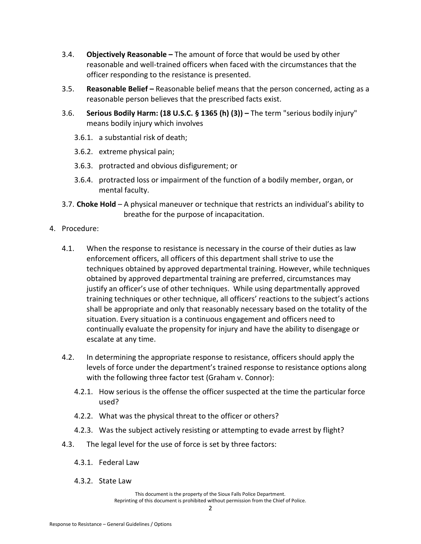- 3.4. **Objectively Reasonable –** The amount of force that would be used by other reasonable and well-trained officers when faced with the circumstances that the officer responding to the resistance is presented.
- 3.5. **Reasonable Belief –** Reasonable belief means that the person concerned, acting as a reasonable person believes that the prescribed facts exist.
- 3.6. **Serious Bodily Harm: (18 U.S.C. § 1365 (h) (3)) –** The term "serious bodily injury" means bodily injury which involves
	- 3.6.1. a substantial risk of death;
	- 3.6.2. extreme physical pain;
	- 3.6.3. protracted and obvious disfigurement; or
	- 3.6.4. protracted loss or impairment of the function of a bodily member, organ, or mental faculty.
- 3.7. **Choke Hold** A physical maneuver or technique that restricts an individual's ability to breathe for the purpose of incapacitation.
- 4. Procedure:
	- 4.1. When the response to resistance is necessary in the course of their duties as law enforcement officers, all officers of this department shall strive to use the techniques obtained by approved departmental training. However, while techniques obtained by approved departmental training are preferred, circumstances may justify an officer's use of other techniques. While using departmentally approved training techniques or other technique, all officers' reactions to the subject's actions shall be appropriate and only that reasonably necessary based on the totality of the situation. Every situation is a continuous engagement and officers need to continually evaluate the propensity for injury and have the ability to disengage or escalate at any time.
	- 4.2. In determining the appropriate response to resistance, officers should apply the levels of force under the department's trained response to resistance options along with the following three factor test (Graham v. Connor):
		- 4.2.1. How serious is the offense the officer suspected at the time the particular force used?
		- 4.2.2. What was the physical threat to the officer or others?
		- 4.2.3. Was the subject actively resisting or attempting to evade arrest by flight?
	- 4.3. The legal level for the use of force is set by three factors:
		- 4.3.1. Federal Law
		- 4.3.2. State Law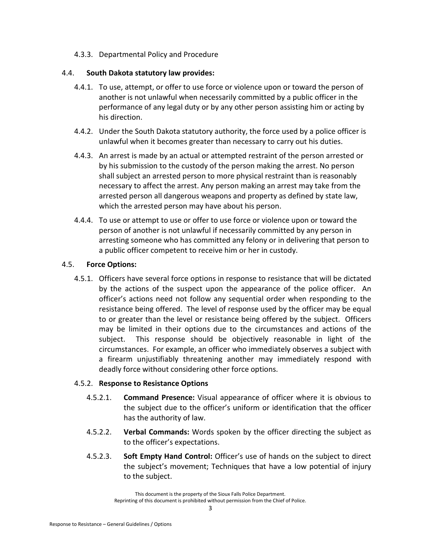### 4.3.3. Departmental Policy and Procedure

#### 4.4. **South Dakota statutory law provides:**

- 4.4.1. To use, attempt, or offer to use force or violence upon or toward the person of another is not unlawful when necessarily committed by a public officer in the performance of any legal duty or by any other person assisting him or acting by his direction.
- 4.4.2. Under the South Dakota statutory authority, the force used by a police officer is unlawful when it becomes greater than necessary to carry out his duties.
- 4.4.3. An arrest is made by an actual or attempted restraint of the person arrested or by his submission to the custody of the person making the arrest. No person shall subject an arrested person to more physical restraint than is reasonably necessary to affect the arrest. Any person making an arrest may take from the arrested person all dangerous weapons and property as defined by state law, which the arrested person may have about his person.
- 4.4.4. To use or attempt to use or offer to use force or violence upon or toward the person of another is not unlawful if necessarily committed by any person in arresting someone who has committed any felony or in delivering that person to a public officer competent to receive him or her in custody.

#### 4.5. **Force Options:**

4.5.1. Officers have several force options in response to resistance that will be dictated by the actions of the suspect upon the appearance of the police officer. An officer's actions need not follow any sequential order when responding to the resistance being offered. The level of response used by the officer may be equal to or greater than the level or resistance being offered by the subject. Officers may be limited in their options due to the circumstances and actions of the subject. This response should be objectively reasonable in light of the circumstances. For example, an officer who immediately observes a subject with a firearm unjustifiably threatening another may immediately respond with deadly force without considering other force options.

#### 4.5.2. **Response to Resistance Options**

- 4.5.2.1. **Command Presence:** Visual appearance of officer where it is obvious to the subject due to the officer's uniform or identification that the officer has the authority of law.
- 4.5.2.2. **Verbal Commands:** Words spoken by the officer directing the subject as to the officer's expectations.
- 4.5.2.3. **Soft Empty Hand Control:** Officer's use of hands on the subject to direct the subject's movement; Techniques that have a low potential of injury to the subject.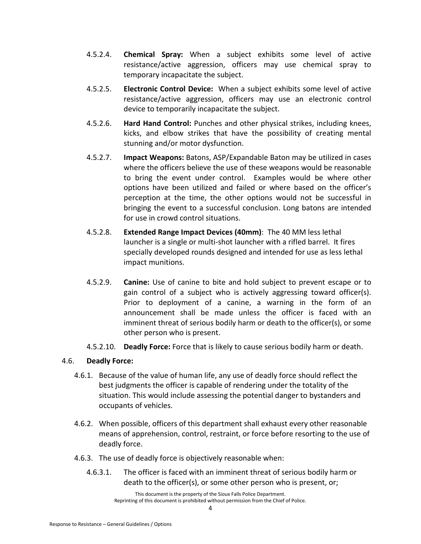- 4.5.2.4. **Chemical Spray:** When a subject exhibits some level of active resistance/active aggression, officers may use chemical spray to temporary incapacitate the subject.
- 4.5.2.5. **Electronic Control Device:** When a subject exhibits some level of active resistance/active aggression, officers may use an electronic control device to temporarily incapacitate the subject.
- 4.5.2.6. **Hard Hand Control:** Punches and other physical strikes, including knees, kicks, and elbow strikes that have the possibility of creating mental stunning and/or motor dysfunction.
- 4.5.2.7. **Impact Weapons:** Batons, ASP/Expandable Baton may be utilized in cases where the officers believe the use of these weapons would be reasonable to bring the event under control. Examples would be where other options have been utilized and failed or where based on the officer's perception at the time, the other options would not be successful in bringing the event to a successful conclusion. Long batons are intended for use in crowd control situations.
- 4.5.2.8. **Extended Range Impact Devices (40mm)**: The 40 MM less lethal launcher is a single or multi-shot launcher with a rifled barrel. It fires specially developed rounds designed and intended for use as less lethal impact munitions.
- 4.5.2.9. **Canine:** Use of canine to bite and hold subject to prevent escape or to gain control of a subject who is actively aggressing toward officer(s). Prior to deployment of a canine, a warning in the form of an announcement shall be made unless the officer is faced with an imminent threat of serious bodily harm or death to the officer(s), or some other person who is present.
- 4.5.2.10. **Deadly Force:** Force that is likely to cause serious bodily harm or death.

## 4.6. **Deadly Force:**

- 4.6.1. Because of the value of human life, any use of deadly force should reflect the best judgments the officer is capable of rendering under the totality of the situation. This would include assessing the potential danger to bystanders and occupants of vehicles.
- 4.6.2. When possible, officers of this department shall exhaust every other reasonable means of apprehension, control, restraint, or force before resorting to the use of deadly force.
- 4.6.3. The use of deadly force is objectively reasonable when:
	- 4.6.3.1. The officer is faced with an imminent threat of serious bodily harm or death to the officer(s), or some other person who is present, or;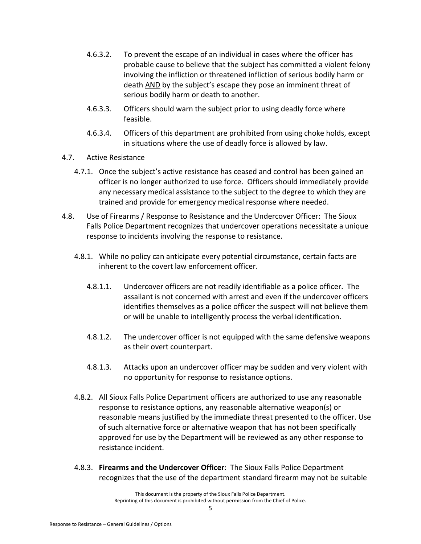- 4.6.3.2. To prevent the escape of an individual in cases where the officer has probable cause to believe that the subject has committed a violent felony involving the infliction or threatened infliction of serious bodily harm or death AND by the subject's escape they pose an imminent threat of serious bodily harm or death to another.
- 4.6.3.3. Officers should warn the subject prior to using deadly force where feasible.
- 4.6.3.4. Officers of this department are prohibited from using choke holds, except in situations where the use of deadly force is allowed by law.
- 4.7. Active Resistance
	- 4.7.1. Once the subject's active resistance has ceased and control has been gained an officer is no longer authorized to use force. Officers should immediately provide any necessary medical assistance to the subject to the degree to which they are trained and provide for emergency medical response where needed.
- 4.8. Use of Firearms / Response to Resistance and the Undercover Officer:The Sioux Falls Police Department recognizes that undercover operations necessitate a unique response to incidents involving the response to resistance.
	- 4.8.1. While no policy can anticipate every potential circumstance, certain facts are inherent to the covert law enforcement officer.
		- 4.8.1.1. Undercover officers are not readily identifiable as a police officer. The assailant is not concerned with arrest and even if the undercover officers identifies themselves as a police officer the suspect will not believe them or will be unable to intelligently process the verbal identification.
		- 4.8.1.2. The undercover officer is not equipped with the same defensive weapons as their overt counterpart.
		- 4.8.1.3. Attacks upon an undercover officer may be sudden and very violent with no opportunity for response to resistance options.
	- 4.8.2. All Sioux Falls Police Department officers are authorized to use any reasonable response to resistance options, any reasonable alternative weapon(s) or reasonable means justified by the immediate threat presented to the officer. Use of such alternative force or alternative weapon that has not been specifically approved for use by the Department will be reviewed as any other response to resistance incident.
	- 4.8.3. **Firearms and the Undercover Officer**:The Sioux Falls Police Department recognizes that the use of the department standard firearm may not be suitable